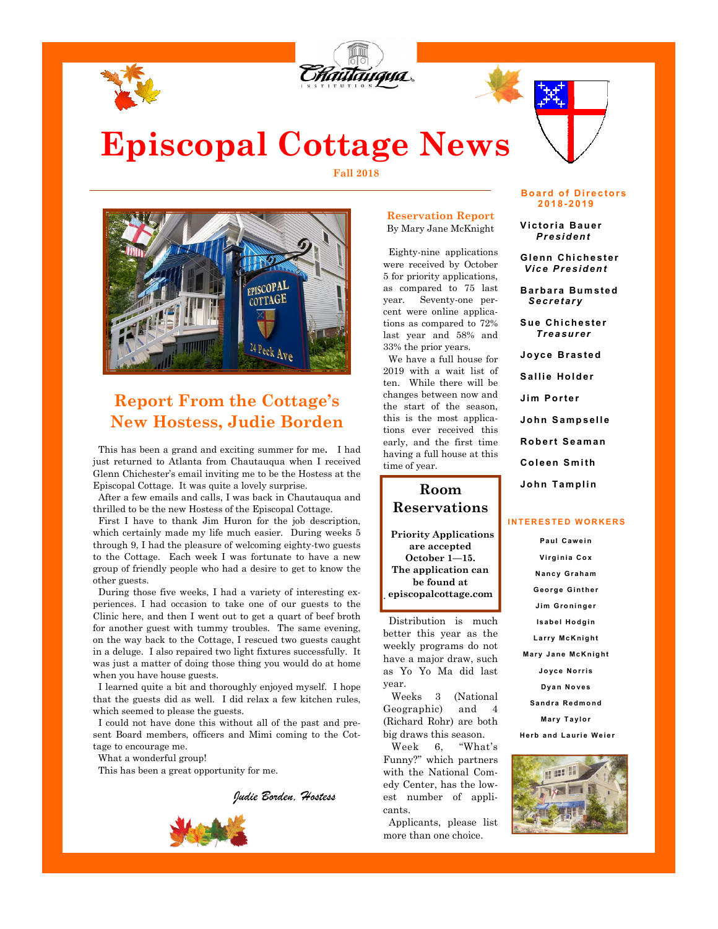



# **Episcopal Cottage News**

**Fall 2018** 



### **Report From the Cottage's New Hostess, Judie Borden**

This has been a grand and exciting summer for me**.** I had just returned to Atlanta from Chautauqua when I received Glenn Chichester's email inviting me to be the Hostess at the Episcopal Cottage. It was quite a lovely surprise.

 After a few emails and calls, I was back in Chautauqua and thrilled to be the new Hostess of the Episcopal Cottage.

 First I have to thank Jim Huron for the job description, which certainly made my life much easier. During weeks 5 through 9, I had the pleasure of welcoming eighty-two guests to the Cottage. Each week I was fortunate to have a new group of friendly people who had a desire to get to know the other guests.

 During those five weeks, I had a variety of interesting experiences. I had occasion to take one of our guests to the Clinic here, and then I went out to get a quart of beef broth for another guest with tummy troubles. The same evening, on the way back to the Cottage, I rescued two guests caught in a deluge. I also repaired two light fixtures successfully. It was just a matter of doing those thing you would do at home when you have house guests.

 I learned quite a bit and thoroughly enjoyed myself. I hope that the guests did as well. I did relax a few kitchen rules, which seemed to please the guests.

 I could not have done this without all of the past and present Board members, officers and Mimi coming to the Cottage to encourage me.

What a wonderful group!

This has been a great opportunity for me.

*Judie Borden, Hostess* 



#### **Reservation Report**  By Mary Jane McKnight

 Eighty-nine applications were received by October 5 for priority applications, as compared to 75 last year. Seventy-one percent were online applications as compared to 72% last year and 58% and 33% the prior years.

 We have a full house for 2019 with a wait list of ten. While there will be changes between now and the start of the season, this is the most applications ever received this early, and the first time having a full house at this time of year.

### **Room Reservations**

**Priority Applications are accepted October 1—15. The application can be found at episcopalcottage.com**  .

 Distribution is much better this year as the weekly programs do not have a major draw, such as Yo Yo Ma did last year.

 Weeks 3 (National Geographic) and 4 (Richard Rohr) are both big draws this season.

 Week 6, "What's Funny?" which partners with the National Comedy Center, has the lowest number of applicants.

 Applicants, please list more than one choice.



 **V i c to ri a B au er** *P r e si d en t* 

**Gl enn Chi ch e st e r** *V i c e P re si d en t* 

 **B ar ba ra Bum s te d** *S e cr e t ar y* 

**Sue Chichester** *T re a sur e r*

 **Jo yc e B ra s te d**  Sallie Holder

 **Ji m P o r te r** 

 **Jo hn S am p sel l e** 

**Robert Seaman** 

 **Col e en S m i th** 

**John Tamplin** 

#### **INTERESTED WORKERS**

**Pa ul C a w e i n Vi rg i ni a C o x N a nc y G ra ha m G e o rg e G i nt he r J i m G ro ni ng e r Isabel Hodgin L a rr y Mc K ni g ht Mary Jane McKnight J o yc e N o r ri s Dyan Noves Sa nd ra R e d mo nd Mary Taylor** 

**Herb and Laurie Weier** 

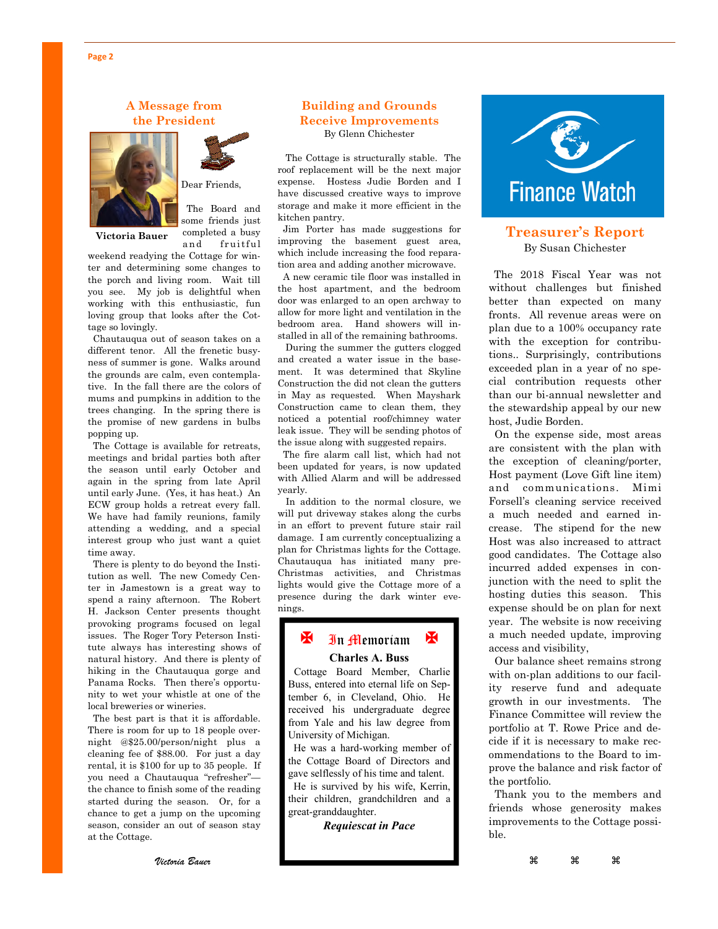#### **A Message from the President**





Dear Friends,

The Board and

some friends just completed a busy **Victoria Bauer**

and fruitful weekend readying the Cottage for winter and determining some changes to the porch and living room. Wait till you see. My job is delightful when working with this enthusiastic, fun loving group that looks after the Cottage so lovingly.

 Chautauqua out of season takes on a different tenor. All the frenetic busyness of summer is gone. Walks around the grounds are calm, even contemplative. In the fall there are the colors of mums and pumpkins in addition to the trees changing. In the spring there is the promise of new gardens in bulbs popping up.

 The Cottage is available for retreats, meetings and bridal parties both after the season until early October and again in the spring from late April until early June. (Yes, it has heat.) An ECW group holds a retreat every fall. We have had family reunions, family attending a wedding, and a special interest group who just want a quiet time away.

 There is plenty to do beyond the Institution as well. The new Comedy Center in Jamestown is a great way to spend a rainy afternoon. The Robert H. Jackson Center presents thought provoking programs focused on legal issues. The Roger Tory Peterson Institute always has interesting shows of natural history. And there is plenty of hiking in the Chautauqua gorge and Panama Rocks. Then there's opportunity to wet your whistle at one of the local breweries or wineries.

 The best part is that it is affordable. There is room for up to 18 people overnight @\$25.00/person/night plus a cleaning fee of \$88.00. For just a day rental, it is \$100 for up to 35 people. If you need a Chautauqua "refresher" the chance to finish some of the reading started during the season. Or, for a chance to get a jump on the upcoming season, consider an out of season stay at the Cottage.

#### **Building and Grounds Receive Improvements**  By Glenn Chichester

 The Cottage is structurally stable. The roof replacement will be the next major expense. Hostess Judie Borden and I have discussed creative ways to improve storage and make it more efficient in the kitchen pantry.

 Jim Porter has made suggestions for improving the basement guest area, which include increasing the food reparation area and adding another microwave.

 A new ceramic tile floor was installed in the host apartment, and the bedroom door was enlarged to an open archway to allow for more light and ventilation in the bedroom area. Hand showers will installed in all of the remaining bathrooms.

 During the summer the gutters clogged and created a water issue in the basement. It was determined that Skyline Construction the did not clean the gutters in May as requested. When Mayshark Construction came to clean them, they noticed a potential roof/chimney water leak issue. They will be sending photos of the issue along with suggested repairs.

 The fire alarm call list, which had not been updated for years, is now updated with Allied Alarm and will be addressed yearly.

 In addition to the normal closure, we will put driveway stakes along the curbs in an effort to prevent future stair rail damage. I am currently conceptualizing a plan for Christmas lights for the Cottage. Chautauqua has initiated many pre-Christmas activities, and Christmas lights would give the Cottage more of a presence during the dark winter evenings.

#### **K** In Memoriam **Charles A. Buss**

 Cottage Board Member, Charlie Buss, entered into eternal life on September 6, in Cleveland, Ohio. He received his undergraduate degree from Yale and his law degree from University of Michigan.

 He was a hard-working member of the Cottage Board of Directors and gave selflessly of his time and talent.

 He is survived by his wife, Kerrin, their children, grandchildren and a great-granddaughter.

*Requiescat in Pace* 



#### **Treasurer's Report**  By Susan Chichester

 The 2018 Fiscal Year was not without challenges but finished better than expected on many fronts. All revenue areas were on plan due to a 100% occupancy rate with the exception for contributions.. Surprisingly, contributions exceeded plan in a year of no special contribution requests other than our bi-annual newsletter and the stewardship appeal by our new host, Judie Borden.

 On the expense side, most areas are consistent with the plan with the exception of cleaning/porter, Host payment (Love Gift line item) and communications. Mimi Forsell's cleaning service received a much needed and earned increase. The stipend for the new Host was also increased to attract good candidates. The Cottage also incurred added expenses in conjunction with the need to split the hosting duties this season. This expense should be on plan for next year. The website is now receiving a much needed update, improving access and visibility,

 Our balance sheet remains strong with on-plan additions to our facility reserve fund and adequate growth in our investments. The Finance Committee will review the portfolio at T. Rowe Price and decide if it is necessary to make recommendations to the Board to improve the balance and risk factor of the portfolio.

 Thank you to the members and friends whose generosity makes improvements to the Cottage possible.

*Victoria Bauer* 

 $\mathcal{H}$  as  $\mathcal{H}$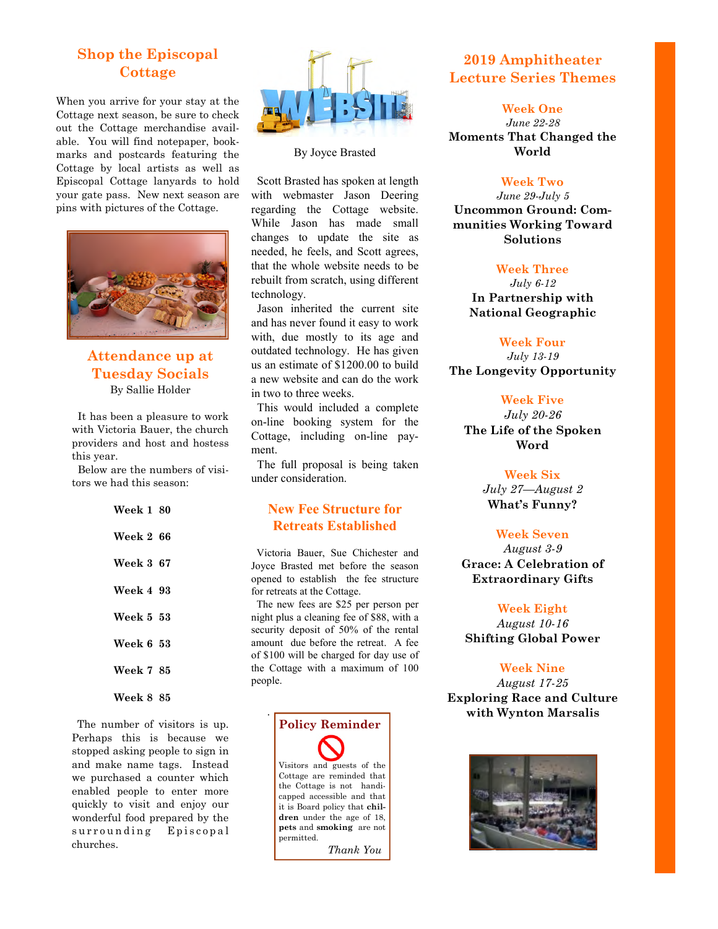### **Shop the Episcopal Cottage**

When you arrive for your stay at the Cottage next season, be sure to check out the Cottage merchandise available. You will find notepaper, bookmarks and postcards featuring the Cottage by local artists as well as Episcopal Cottage lanyards to hold your gate pass. New next season are pins with pictures of the Cottage.



#### **Attendance up at Tuesday Socials**  By Sallie Holder

 It has been a pleasure to work with Victoria Bauer, the church providers and host and hostess this year.

 Below are the numbers of visitors we had this season:

| Week 1 80        |  |
|------------------|--|
| <b>Week 2 66</b> |  |
| <b>Week 3 67</b> |  |
| Week 4 93        |  |
| Week 5 53        |  |
| <b>Week 6 53</b> |  |
| <b>Week 7 85</b> |  |
| <b>Week 8 85</b> |  |

 The number of visitors is up. Perhaps this is because we stopped asking people to sign in and make name tags. Instead we purchased a counter which enabled people to enter more quickly to visit and enjoy our wonderful food prepared by the surrounding Episcopal churches.



#### By Joyce Brasted

 Scott Brasted has spoken at length with webmaster Jason Deering regarding the Cottage website. While Jason has made small changes to update the site as needed, he feels, and Scott agrees, that the whole website needs to be rebuilt from scratch, using different technology.

 Jason inherited the current site and has never found it easy to work with, due mostly to its age and outdated technology. He has given us an estimate of \$1200.00 to build a new website and can do the work in two to three weeks.

 This would included a complete on-line booking system for the Cottage, including on-line payment.

 The full proposal is being taken under consideration.

#### **New Fee Structure for Retreats Established**

 Victoria Bauer, Sue Chichester and Joyce Brasted met before the season opened to establish the fee structure for retreats at the Cottage.

 The new fees are \$25 per person per night plus a cleaning fee of \$88, with a security deposit of 50% of the rental amount due before the retreat. A fee of \$100 will be charged for day use of the Cottage with a maximum of 100 people.



### **2019 Amphitheater Lecture Series Themes**

**Week One** 

*June 22-28*  **Moments That Changed the World** 

#### **Week Two**

*June 29-July 5*  **Uncommon Ground: Communities Working Toward Solutions** 

#### **Week Three**

*July 6-12*  **In Partnership with National Geographic** 

#### **Week Four**

*July 13-19*  **The Longevity Opportunity** 

#### **Week Five**

*July 20-26*  **The Life of the Spoken Word** 

#### **Week Six**

*July 27—August 2*  **What's Funny?** 

#### **Week Seven**

*August 3-9*  **Grace: A Celebration of Extraordinary Gifts** 

#### **Week Eight**

*August 10-16*  **Shifting Global Power** 

#### **Week Nine**

*August 17-25*  **Exploring Race and Culture with Wynton Marsalis**